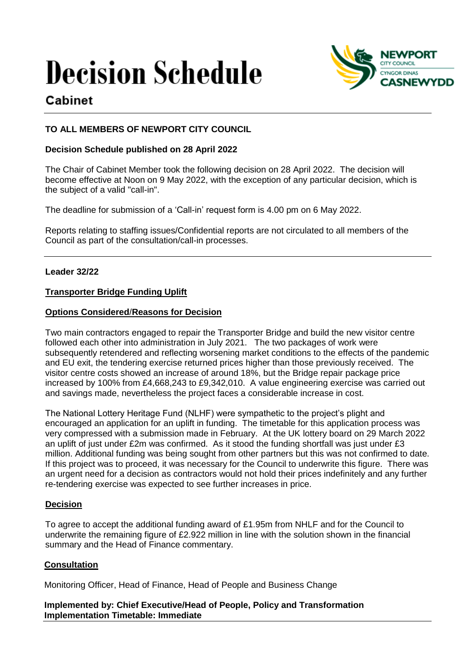# **Decision Schedule**



# Cabinet

# **TO ALL MEMBERS OF NEWPORT CITY COUNCIL**

## **Decision Schedule published on 28 April 2022**

The Chair of Cabinet Member took the following decision on 28 April 2022. The decision will become effective at Noon on 9 May 2022, with the exception of any particular decision, which is the subject of a valid "call-in".

The deadline for submission of a 'Call-in' request form is 4.00 pm on 6 May 2022.

Reports relating to staffing issues/Confidential reports are not circulated to all members of the Council as part of the consultation/call-in processes.

#### **Leader 32/22**

#### **Transporter Bridge Funding Uplift**

#### **Options Considered**/**Reasons for Decision**

Two main contractors engaged to repair the Transporter Bridge and build the new visitor centre followed each other into administration in July 2021. The two packages of work were subsequently retendered and reflecting worsening market conditions to the effects of the pandemic and EU exit, the tendering exercise returned prices higher than those previously received. The visitor centre costs showed an increase of around 18%, but the Bridge repair package price increased by 100% from £4,668,243 to £9,342,010. A value engineering exercise was carried out and savings made, nevertheless the project faces a considerable increase in cost.

The National Lottery Heritage Fund (NLHF) were sympathetic to the project's plight and encouraged an application for an uplift in funding. The timetable for this application process was very compressed with a submission made in February. At the UK lottery board on 29 March 2022 an uplift of just under £2m was confirmed. As it stood the funding shortfall was just under £3 million. Additional funding was being sought from other partners but this was not confirmed to date. If this project was to proceed, it was necessary for the Council to underwrite this figure. There was an urgent need for a decision as contractors would not hold their prices indefinitely and any further re-tendering exercise was expected to see further increases in price.

#### **Decision**

To agree to accept the additional funding award of £1.95m from NHLF and for the Council to underwrite the remaining figure of £2.922 million in line with the solution shown in the financial summary and the Head of Finance commentary.

## **Consultation**

Monitoring Officer, Head of Finance, Head of People and Business Change

#### **Implemented by: Chief Executive/Head of People, Policy and Transformation Implementation Timetable: Immediate**